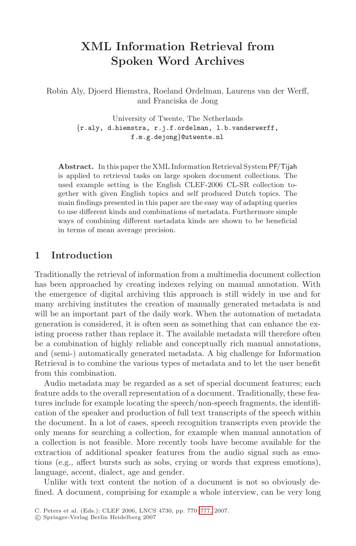# **XML Information Retrieval from Spoken Word Archives**

Robin Aly, Djoerd Hiemstra, Roeland Ordelman, Laurens van der Werff, and Franciska de Jong

> University of Twente, The Netherlands {r.aly, d.hiemstra, r.j.f.ordelman, l.b.vanderwerff, f.m.g.dejong}@utwente.nl

**Abstract.** In this paper the XML Information Retrieval System PF/Tijah is applied to retrieval tasks on large spoken document collections. The used example setting is the English CLEF-2006 CL-SR collection together with given English topics and self produced Dutch topics. The main findings presented in this paper are the easy way of adapting queries to use different kinds and combinations of metadata. Furthermore simple ways of combining different metadata kinds are shown to be beneficial in terms of mean average precision.

# **1 Introduction**

Traditionally the retrieval of information from a multimedia document collection has been approached by creating indexes relying on manual annotation. With the emergence of digital archiving this approach is still widely in use and for many archiving institutes the creation of manually generated metadata is and will be an important part of the daily work. When the automation of metadata generation is considered, it is often seen as something that can enhance the existing process rather than replace it. The available metadata will therefore often be a combination of highly reliable and conceptually rich manual annotations, and (semi-) automatically generated metadata. A big challenge for Information Retrieval is to combine the various types of metadata and to let the user benefit from this combination.

Audio metadata may be regarded as a set of special document features; each feature adds to the overall representation of a document. Traditionally, these features include for example locating the speech/non-speech fragments, the identification of the speaker and production of full text transcripts of the speech within the document. In a lot of cases, speech recognition transcripts even provide the only means for searching [a col](#page-7-0)lection, for example when manual annotation of a collection is not feasible. More recently tools have become available for the extraction of additional speaker features from the audio signal such as emotions (e.g., affect bursts such as sobs, crying or words that express emotions), language, accent, dialect, age and gender.

Unlike with text content the notion of a document is not so obviously defined. A document, comprising for example a whole interview, can be very long

C. Peters et al. (Eds.): CLEF 2006, LNCS 4730, pp. 770–777, 2007.

<sup>-</sup>c Springer-Verlag Berlin Heidelberg 2007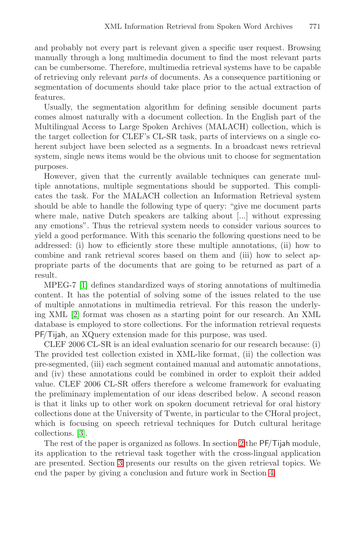and probably not every part is relevant given a specific user request. Browsing manually through a long multimedia document to find the most relevant parts can be cumbersome. Therefore, multimedia retrieval systems have to be capable of retrieving only relevant parts of documents. As a consequence partitioning or segmentation of documents should take place prior to the actual extraction of features.

Usually, the segmentation algorithm for defining sensible document parts comes almost naturally with a document collection. In the English part of the Multilingual Access to Large Spoken Archives (MALACH) collection, which is the target collection for CLEF's CL-SR task, parts of interviews on a single coherent subject have been selected as a segments. In a broadcast news retrieval system, single news items would be the obvious unit to choose for segmentation purposes.

However, given that the currently available techniques can generate multiple annotations, multiple segmentations should be supported. This complicates the task. For the MALACH collection an Information Retrieval system should be able to handle the following type of query: "give me document parts where male, native Dutch speakers are talking about [...] without expressing any emotions". Thus the retrieval system needs to consider various sources to yield a good performance. With this scenario the following questions need to be addressed: (i) how to efficiently store these multiple annotations, (ii) how to combine and rank retrieval scores based on them and (iii) how to select appropriate parts of the documents that are going to be returned as part of a result.

MPEG-7 [1] defines standardized ways of storing annotations of multimedia content. It has the potential of solving some of the issues related to the use of multiple annotations in multimedia retrieval. For this reason the underlying XML [2] format was chosen as a starting point for our research. An XML database is employed to store collections. For the information retrieval requests PF/Tijah, an XQuery extension made for this purpose, was used.

CLEF 2006 CL-SR is an ideal evaluation scenario for our research because: (i) The provided test collection existed in XML-like format, (ii) the collection was pre-segmented, (iii) each segment con[tai](#page-2-0)ned manual and automatic annotations, and (iv) these annotations could be combined in order to exploit their added val[ue.](#page-4-0) CLEF 2006 CL-SR offers therefore a welcome framework for evaluating the preliminary implementation of our ideas [de](#page-4-1)scribed below. A second reason is that it links up to other work on spoken document retrieval for oral history collections done at the University of Twente, in particular to the CHoral project, which is focusing on speech retrieval techniques for Dutch cultural heritage collections. [3].

The rest of the paper is organized as follows. In section 2 the PF/Tijah module, its application to the retrieval task together with the cross-lingual application are presented. Section 3 presents our results on the given retrieval topics. We end the paper by giving a conclusion and future work in Section 4.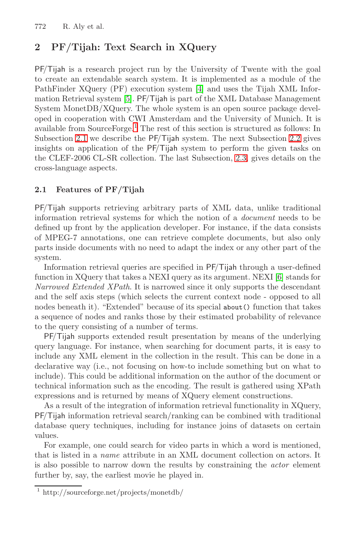#### <span id="page-2-0"></span>772 R. Aly et al.

# **2 P[F/](#page-2-1)Tijah: Text Search in XQuery**

PF/Tijah is a research project run by the University of Twente with the goal to create an extendable search syst[em.](#page-4-2) It is implemented as a module of the PathFinder XQuery (PF) execution system [4] and uses the Tijah XML Information Retrieval system [5]. PF/Tijah is part of the XML Database Management System MonetDB/XQuery. The whole system is an open source package developed in cooperation with CWI Amsterdam and the University of Munich. It is available from SourceForge.<sup>1</sup> The rest of this section is structured as follows: In Subsection 2.1 we describe the PF/Tijah system. The next Subsection 2.2 gives insights on application of the PF/Tijah system to perform the given tasks on the CLEF-2006 CL-SR collection. The last Subsection, 2.3, gives details on the cross-language aspects.

## **2.1 Features of PF/Tijah**

PF/Tijah supports retrieving arbitrary parts o[f](#page-6-1) [X](#page-6-1)ML data, unlike traditional information retrieval systems for which the notion of a document needs to be defined up front by the application developer. For instance, if the data consists of MPEG-7 annotations, one can retrieve complete documents, but also only parts inside documents with no need to adapt the index or any other part of the system.

Information retrieval queries are specified in PF/Tijah through a user-defined function in XQuery that takes a NEXI query as its argument. NEXI [6] stands for Narrowed Extended XPath. It is narrowed since it only supports the descendant and the self axis steps (which selects the current context node - opposed to all nodes beneath it). "Extended" because of its special about() function that takes a sequence of nodes and ranks those by their estimated probability of relevance to the query consisting of a number of terms.

PF/Tijah supports extended result presentation by means of the underlying query language. For instance, when searching for document parts, it is easy to include any XML element in the collection in the result. This can be done in a declarative way (i.e., not focusing on how-to include something but on what to include). This could be additional information on the author of the document or technical information such as the encoding. The result is gathered using XPath expressions and is returned by means of XQuery element constructions.

<span id="page-2-1"></span>As a result of the integration of information retrieval functionality in XQuery, PF/Tijah information retrieval search/ranking can be combined with traditional database query techniques, including for instance joins of datasets on certain values.

For example, one could search for video parts in which a word is mentioned, that is listed in a name attribute in an XML document collection on actors. It is also possible to narrow down the results by constraining the actor element further by, say, the earliest movie he played in.

<sup>1</sup> http://sourceforge.net/projects/monetdb/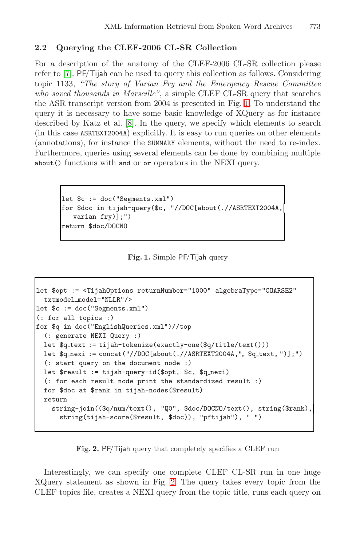#### **2.2 [Qu](#page-7-1)erying the CLEF-2006 CL-SR Collection**

For a description of the anatomy of the CLEF-2006 CL-SR collection please refer to [7]. PF/Tijah can be used to query this collection as follows. Considering topic 1133, "The story of Varian Fry and the Emergency Rescue Committee who saved thousands in Marseille", a simple CLEF CL-SR query that searches the ASR transcript version from 2004 is presented in Fig. 1. To understand the query it is necessary to have some basic knowledge of XQuery as for instance described by Katz et al. [8]. In the query, we specify which elements to search (in this case ASRTEXT2004A) explicitly. It is easy to run queries on other elements (annotations), for instance the SUMMARY elements, without the need to re-index. Furthermore, queries using several elements can be done by combining multiple about() functions with and or or operators in the NEXI query.

```
let $c := doc("Segments.xml")
for $doc in tijah-query($c, "//DOC[about(.//ASRTEXT2004A,
   varian fry)];")
return $doc/DOCNO
```
**Fig. 1.** Simple PF/Tijah query

```
let $opt := <TijahOptions returnNumber="1000" algebraType="COARSE2"
 txtmodel model="NLLR"/>
let $c := doc("Segments.xml")
(: for all topics :)
for $q in doc("EnglishQueries.xml")//top
  (: generate NEXI Query :)
 let $q text := tijah-tokenize(exactly-one($q/title/text()))
 let $q nexi := concat("//DOC[about(.//ASRTEXT2004A,", $q text, ")];")
  (: start query on the document node :)
  let {\text{result}} := {\text{tight-query-id}}({\text{Spot}}, {\text{fc}}, {\text{square}})(: for each result node print the standardized result :)
  for $doc at $rank in tijah-nodes($result)
  return
    string-join(($q/num/text(), "Q0", $doc/DOCNO/text(), string($rank),
      string(tijah-score($result, $doc)), "pftijah"), " ")
```
Fig. 2. PF/Tijah query that completely specifies a CLEF run

<span id="page-3-1"></span>Interestingly, we can specify one complete CLEF CL-SR run in one huge XQuery statement as shown in Fig. 2. The query takes every topic from the CLEF topics file, creates a NEXI query from the topic title, runs each query on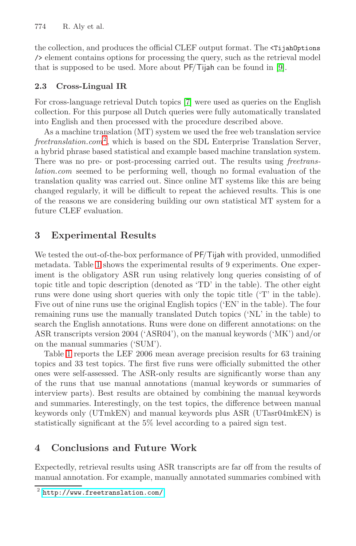<span id="page-4-2"></span>774 R. Aly et al.

the collection, and produces the official CLEF output format. The <TijahOptions /> element contains options for processing the query, such as the retrieval model [th](#page-4-3)at is supposed to be used. More about PF/Tijah can be found in [9].

#### **2.3 Cross-Lingual IR**

For cross-language retrieval Dutch topics [7] were used as queries on the English collection. For this purpose all Dutch queries were fully automatically translated into English and then processed with the procedure described above.

<span id="page-4-0"></span>As a machine translation (MT) system we used the free web translation service freetranslation.com<sup>2</sup>, which is based on the SDL Enterprise Translation Server, a hybrid phrase based statistical and example based machine translation system. There was no pre- or post-processing carried out. The results using freetranslation.com seemed to be performing well, though no formal evaluation of the translation quality was carried out. Since online MT systems like this are being changed regularly, it will be difficult to repeat the achieved results. This is one of the reasons we are considering building our own statistical MT system for a future CLEF evaluation.

# **3 Experimental Results**

We tested the out-of-the-box performance of PF/Tijah with provided, unmodified metadata. Table 1 shows the experimental results of 9 experiments. One experiment is the obligatory ASR run using relatively long queries consisting of of topic title and topic description (denoted as 'TD' in the table). The other eight runs were done using short queries with only the topic title ('T' in the table). Five out of nine runs use the original English topics ('EN' in the table). The four remaining runs use the manually translated Dutch topics ('NL' in the table) to search the English annotations. Runs were done on different annotations: on the ASR transcripts version 2004 ('ASR04'), on the manual keywords ('MK') and/or on the manual summaries ('SUM').

<span id="page-4-1"></span>Table 1 reports the LEF 2006 mean average precision results for 63 training topics and 33 test topics. The first five runs were officially submitted the other ones were self-assessed. The ASR-only results are significantly worse than any of the runs that use manual annotations (manual keywords or summaries of interview parts). Best results are obtained by combining the manual keywords and summaries. Interestingly, on the test topics, the difference between manual [keywords only \(U](http://www.freetranslation.com/)TmkEN) and manual keywords plus ASR (UTasr04mkEN) is statistically significant at the 5% level according to a paired sign test.

## <span id="page-4-3"></span>**4 Conclusions and Future Work**

Expectedly, retrieval results using ASR transcripts are far off from the results of manual annotation. For example, manually annotated summaries combined with

<sup>2</sup> http://www.freetranslation.com/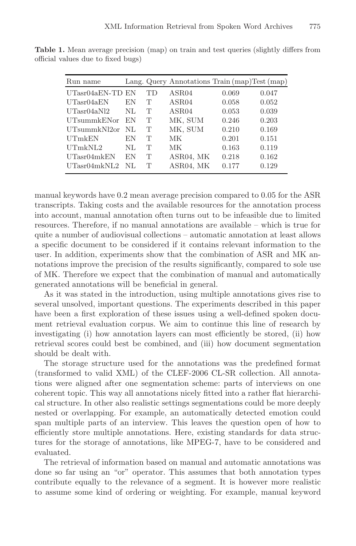| Run name         |    |           | Lang. Query Annotations Train (map) Test (map) |       |       |
|------------------|----|-----------|------------------------------------------------|-------|-------|
| UTasr04aEN-TD EN |    | <b>TD</b> | ASR <sub>04</sub>                              | 0.069 | 0.047 |
| UTasr04aEN       | ΕN | T         | ASR <sub>04</sub>                              | 0.058 | 0.052 |
| UTasr04aNl2      | NL | T         | ASR <sub>04</sub>                              | 0.053 | 0.039 |
| UTsummkENor      | ΕN | T         | MK, SUM                                        | 0.246 | 0.203 |
| UTsummkNl2or     | NL | T         | MK, SUM                                        | 0.210 | 0.169 |
| <b>UTmkEN</b>    | ΕN | T         | MК                                             | 0.201 | 0.151 |
| UTmkNL2          | NL | T         | МK                                             | 0.163 | 0.119 |
| UTasr04mkEN      | EN | T         | ASR04, MK                                      | 0.218 | 0.162 |
| UTasr04mkNL2     | NL | T         | ASR04, MK                                      | 0.177 | 0.129 |

**Table 1.** Mean average precision (map) on train and test queries (slightly differs from official values due to fixed bugs)

manual keywords have 0.2 mean average precision compared to 0.05 for the ASR transcripts. Taking costs and the available resources for the annotation process into account, manual annotation often turns out to be infeasible due to limited resources. Therefore, if no manual annotations are available – which is true for quite a number of audiovisual collections – automatic annotation at least allows a specific document to be considered if it contains relevant information to the user. In addition, experiments show that the combination of ASR and MK annotations improve the precision of the results significantly, compared to sole use of MK. Therefore we expect that the combination of manual and automatically generated annotations will be beneficial in general.

As it was stated in the introduction, using multiple annotations gives rise to several unsolved, important questions. The experiments described in this paper have been a first exploration of these issues using a well-defined spoken document retrieval evaluation corpus. We aim to continue this line of research by investigating (i) how annotation layers can most efficiently be stored, (ii) how retrieval scores could best be combined, and (iii) how document segmentation should be dealt with.

The storage structure used for the annotations was the predefined format (transformed to valid XML) of the CLEF-2006 CL-SR collection. All annotations were aligned after one segmentation scheme: parts of interviews on one coherent topic. This way all annotations nicely fitted into a rather flat hierarchical structure. In other also realistic settings segmentations could be more deeply nested or overlapping. For example, an automatically detected emotion could span multiple parts of an interview. This leaves the question open of how to efficiently store multiple annotations. Here, existing standards for data structures for the storage of annotations, like MPEG-7, have to be considered and evaluated.

The retrieval of information based on manual and automatic annotations was done so far using an "or" operator. This assumes that both annotation types contribute equally to the relevance of a segment. It is however more realistic to assume some kind of ordering or weighting. For example, manual keyword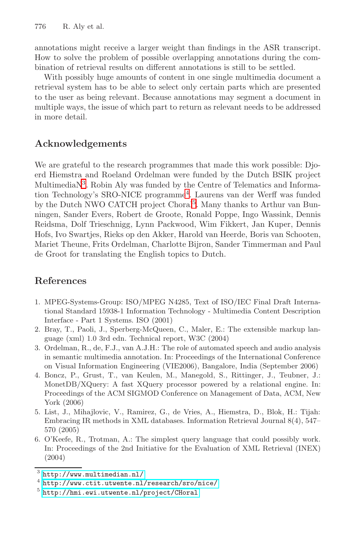776 R. Aly et al.

annotations might receive a larger weight than findings in the ASR transcript. How to solve the problem of possible overlapping annotations during the combination of retrieval results on different annotations is still to be settled.

With possibly huge amounts of content in one single multimedia document a retrieval system has to be able to select only certain parts which are presented to the user as being relevant. Because annotations may segment a document in multiple ways, the issue of which part to return as relevant needs to be addressed in more detail.

## **Acknowledgements**

We are grateful to the research programmes that made this work possible: Djoerd Hiemstra and Roeland Ordelman were funded by the Dutch BSIK project MultimediaN<sup>3</sup>. Robin Aly was funded by the Centre of Telematics and Information Technology's SRO-NICE programme<sup>4</sup>. Laurens van der Werff was funded by the Dutch NWO CATCH project Choral<sup>5</sup>. Many thanks to Arthur van Bunningen, Sander Evers, Robert de Groote, Ronald Poppe, Ingo Wassink, Dennis Reidsma, Dolf Trieschnigg, Lynn Packwood, Wim Fikkert, Jan Kuper, Dennis Hofs, Ivo Swartjes, Rieks op den Akker, Harold van Heerde, Boris van Schooten, Mariet Theune, Frits Ordelman, Charlotte Bijron, Sander Timmerman and Paul de Groot for translating the English topics to Dutch.

# **References**

- 1. MPEG-Systems-Group: ISO/MPEG N4285, Text of ISO/IEC Final Draft International Standard 15938-1 Information Technology - Multimedia Content Description Interface - Part 1 Systems. ISO (2001)
- <span id="page-6-0"></span>2. Bray, T., Paoli, J., Sperberg-McQueen, C., Maler, E.: The extensible markup language (xml) 1.0 3rd edn. Technical report, W3C (2004)
- <span id="page-6-1"></span>3. Ordelman, R., de, F.J., van A.J.H.: The role of automated speech and audio analysis in semantic multimedia annotation. In: Proceedings of the International Conference on Visual Information Engineering (VIE2006), Bangalore, India (September 2006)
- 4. Boncz, P., Grust, T., van Keulen, M., Manegold, S., Rittinger, J., Teubner, J.: MonetDB/XQuery: A fast XQuery processor powered by a relational engine. In: Proceedings of the ACM SIGMOD Conference on Management of Data, ACM, New [York](http://www.multimedian.nl/) [\(200](http://www.multimedian.nl/)6)
- [5.](http://www.ctit.utwente.nl/research/sro/nice/)[List,](http://www.ctit.utwente.nl/research/sro/nice/)[J.,](http://www.ctit.utwente.nl/research/sro/nice/)[Mihajlovic,](http://www.ctit.utwente.nl/research/sro/nice/)[V.,](http://www.ctit.utwente.nl/research/sro/nice/)[Ramire](http://www.ctit.utwente.nl/research/sro/nice/)z, G., de Vries, A., Hiemstra, D., Blok, H.: Tijah: Embracing IR methods in XML databases. Information Retrieval Journal 8(4), 547– 570 (2005)
- 6. O'Keefe, R., Trotman, A.: The simplest query language that could possibly work. In: Proceedings of the 2nd Initiative for the Evaluation of XML Retrieval (INEX) (2004)

 $^3$ http://www.multimedian.nl/

<sup>4</sup> http://www.ctit.utwente.nl/research/sro/nice/

 $5$ http://hmi.ewi.utwente.nl/project/CHoral